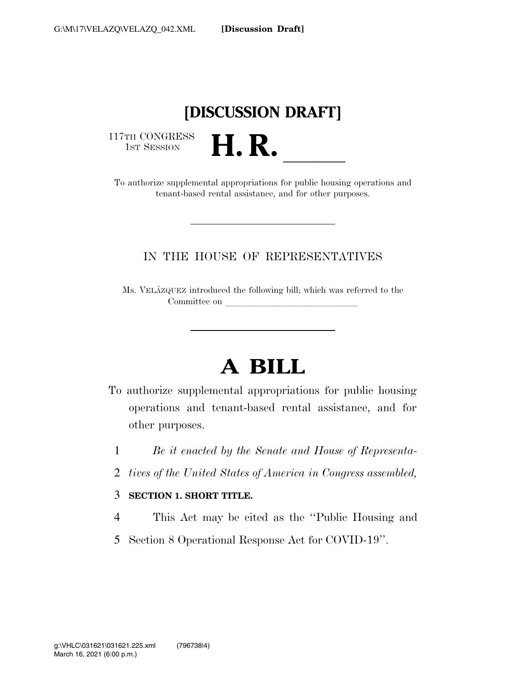## **[DISCUSSION DRAFT]**

117TH CONGRESS<br>1st Session

17TH CONGRESS<br>1st SESSION<br>To authorize supplemental appropriations for public housing operations and tenant-based rental assistance, and for other purposes.

### IN THE HOUSE OF REPRESENTATIVES

Ms. VELA´ZQUEZ introduced the following bill; which was referred to the Committee on

# **A BILL**

- To authorize supplemental appropriations for public housing operations and tenant-based rental assistance, and for other purposes.
	- 1 *Be it enacted by the Senate and House of Representa-*
	- 2 *tives of the United States of America in Congress assembled,*

#### 3 **SECTION 1. SHORT TITLE.**

- 4 This Act may be cited as the ''Public Housing and
- 5 Section 8 Operational Response Act for COVID-19''.